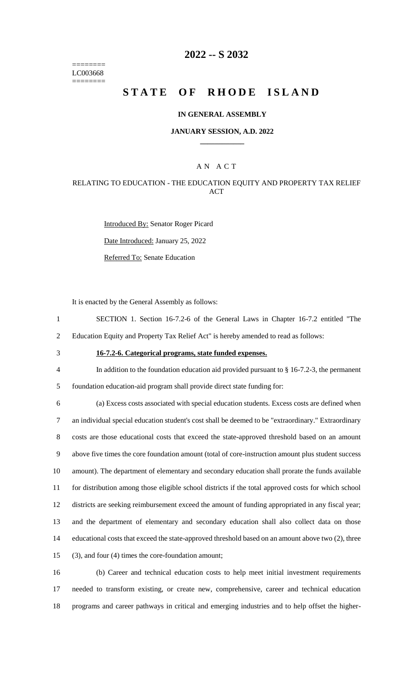======== LC003668 ========

## **2022 -- S 2032**

# **STATE OF RHODE ISLAND**

### **IN GENERAL ASSEMBLY**

#### **JANUARY SESSION, A.D. 2022 \_\_\_\_\_\_\_\_\_\_\_\_**

### A N A C T

### RELATING TO EDUCATION - THE EDUCATION EQUITY AND PROPERTY TAX RELIEF ACT

Introduced By: Senator Roger Picard Date Introduced: January 25, 2022 Referred To: Senate Education

It is enacted by the General Assembly as follows:

- 1 SECTION 1. Section 16-7.2-6 of the General Laws in Chapter 16-7.2 entitled "The
- 2 Education Equity and Property Tax Relief Act" is hereby amended to read as follows:
- 

# 3 **16-7.2-6. Categorical programs, state funded expenses.**

4 In addition to the foundation education aid provided pursuant to § 16-7.2-3, the permanent 5 foundation education-aid program shall provide direct state funding for:

 (a) Excess costs associated with special education students. Excess costs are defined when an individual special education student's cost shall be deemed to be "extraordinary." Extraordinary costs are those educational costs that exceed the state-approved threshold based on an amount above five times the core foundation amount (total of core-instruction amount plus student success amount). The department of elementary and secondary education shall prorate the funds available for distribution among those eligible school districts if the total approved costs for which school districts are seeking reimbursement exceed the amount of funding appropriated in any fiscal year; and the department of elementary and secondary education shall also collect data on those educational costs that exceed the state-approved threshold based on an amount above two (2), three (3), and four (4) times the core-foundation amount;

16 (b) Career and technical education costs to help meet initial investment requirements 17 needed to transform existing, or create new, comprehensive, career and technical education 18 programs and career pathways in critical and emerging industries and to help offset the higher-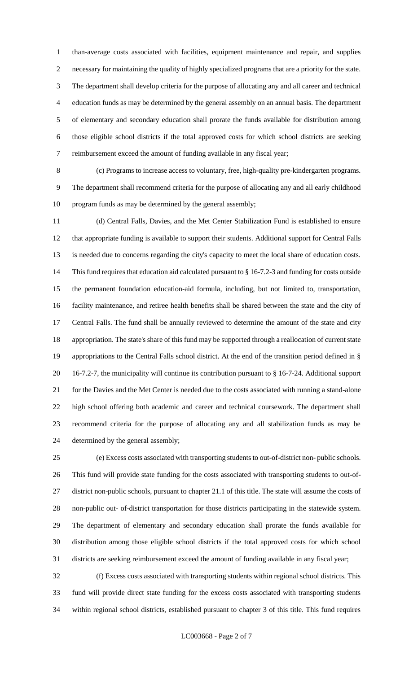than-average costs associated with facilities, equipment maintenance and repair, and supplies necessary for maintaining the quality of highly specialized programs that are a priority for the state. The department shall develop criteria for the purpose of allocating any and all career and technical education funds as may be determined by the general assembly on an annual basis. The department of elementary and secondary education shall prorate the funds available for distribution among those eligible school districts if the total approved costs for which school districts are seeking reimbursement exceed the amount of funding available in any fiscal year;

 (c) Programs to increase access to voluntary, free, high-quality pre-kindergarten programs. The department shall recommend criteria for the purpose of allocating any and all early childhood program funds as may be determined by the general assembly;

 (d) Central Falls, Davies, and the Met Center Stabilization Fund is established to ensure that appropriate funding is available to support their students. Additional support for Central Falls is needed due to concerns regarding the city's capacity to meet the local share of education costs. This fund requires that education aid calculated pursuant to § 16-7.2-3 and funding for costs outside the permanent foundation education-aid formula, including, but not limited to, transportation, facility maintenance, and retiree health benefits shall be shared between the state and the city of Central Falls. The fund shall be annually reviewed to determine the amount of the state and city appropriation. The state's share of this fund may be supported through a reallocation of current state appropriations to the Central Falls school district. At the end of the transition period defined in § 16-7.2-7, the municipality will continue its contribution pursuant to § 16-7-24. Additional support for the Davies and the Met Center is needed due to the costs associated with running a stand-alone high school offering both academic and career and technical coursework. The department shall recommend criteria for the purpose of allocating any and all stabilization funds as may be determined by the general assembly;

 (e) Excess costs associated with transporting students to out-of-district non- public schools. This fund will provide state funding for the costs associated with transporting students to out-of- district non-public schools, pursuant to chapter 21.1 of this title. The state will assume the costs of non-public out- of-district transportation for those districts participating in the statewide system. The department of elementary and secondary education shall prorate the funds available for distribution among those eligible school districts if the total approved costs for which school districts are seeking reimbursement exceed the amount of funding available in any fiscal year;

 (f) Excess costs associated with transporting students within regional school districts. This fund will provide direct state funding for the excess costs associated with transporting students within regional school districts, established pursuant to chapter 3 of this title. This fund requires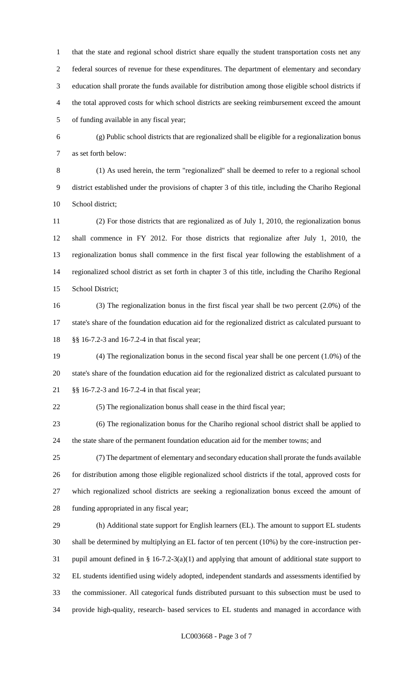that the state and regional school district share equally the student transportation costs net any federal sources of revenue for these expenditures. The department of elementary and secondary education shall prorate the funds available for distribution among those eligible school districts if the total approved costs for which school districts are seeking reimbursement exceed the amount of funding available in any fiscal year;

 (g) Public school districts that are regionalized shall be eligible for a regionalization bonus as set forth below:

 (1) As used herein, the term "regionalized" shall be deemed to refer to a regional school district established under the provisions of chapter 3 of this title, including the Chariho Regional School district;

 (2) For those districts that are regionalized as of July 1, 2010, the regionalization bonus shall commence in FY 2012. For those districts that regionalize after July 1, 2010, the regionalization bonus shall commence in the first fiscal year following the establishment of a regionalized school district as set forth in chapter 3 of this title, including the Chariho Regional School District;

 (3) The regionalization bonus in the first fiscal year shall be two percent (2.0%) of the state's share of the foundation education aid for the regionalized district as calculated pursuant to §§ 16-7.2-3 and 16-7.2-4 in that fiscal year;

 (4) The regionalization bonus in the second fiscal year shall be one percent (1.0%) of the state's share of the foundation education aid for the regionalized district as calculated pursuant to §§ 16-7.2-3 and 16-7.2-4 in that fiscal year;

(5) The regionalization bonus shall cease in the third fiscal year;

 (6) The regionalization bonus for the Chariho regional school district shall be applied to the state share of the permanent foundation education aid for the member towns; and

 (7) The department of elementary and secondary education shall prorate the funds available for distribution among those eligible regionalized school districts if the total, approved costs for which regionalized school districts are seeking a regionalization bonus exceed the amount of funding appropriated in any fiscal year;

 (h) Additional state support for English learners (EL). The amount to support EL students shall be determined by multiplying an EL factor of ten percent (10%) by the core-instruction per- pupil amount defined in § 16-7.2-3(a)(1) and applying that amount of additional state support to EL students identified using widely adopted, independent standards and assessments identified by the commissioner. All categorical funds distributed pursuant to this subsection must be used to provide high-quality, research- based services to EL students and managed in accordance with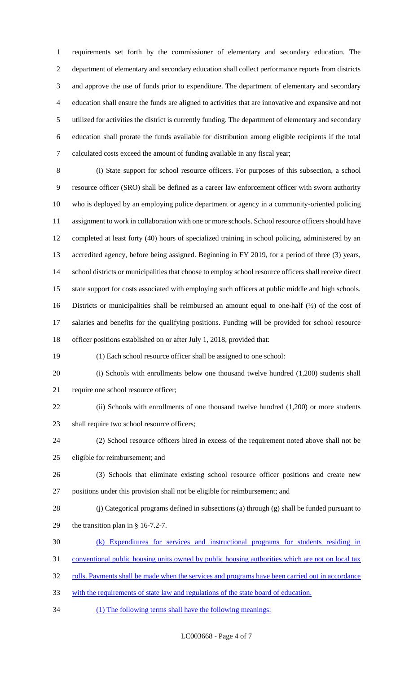requirements set forth by the commissioner of elementary and secondary education. The department of elementary and secondary education shall collect performance reports from districts and approve the use of funds prior to expenditure. The department of elementary and secondary education shall ensure the funds are aligned to activities that are innovative and expansive and not utilized for activities the district is currently funding. The department of elementary and secondary education shall prorate the funds available for distribution among eligible recipients if the total calculated costs exceed the amount of funding available in any fiscal year;

 (i) State support for school resource officers. For purposes of this subsection, a school resource officer (SRO) shall be defined as a career law enforcement officer with sworn authority who is deployed by an employing police department or agency in a community-oriented policing assignment to work in collaboration with one or more schools. School resource officers should have completed at least forty (40) hours of specialized training in school policing, administered by an accredited agency, before being assigned. Beginning in FY 2019, for a period of three (3) years, school districts or municipalities that choose to employ school resource officers shall receive direct state support for costs associated with employing such officers at public middle and high schools. Districts or municipalities shall be reimbursed an amount equal to one-half (½) of the cost of salaries and benefits for the qualifying positions. Funding will be provided for school resource officer positions established on or after July 1, 2018, provided that:

(1) Each school resource officer shall be assigned to one school:

 (i) Schools with enrollments below one thousand twelve hundred (1,200) students shall require one school resource officer;

22 (ii) Schools with enrollments of one thousand twelve hundred (1,200) or more students 23 shall require two school resource officers;

 (2) School resource officers hired in excess of the requirement noted above shall not be eligible for reimbursement; and

- (3) Schools that eliminate existing school resource officer positions and create new positions under this provision shall not be eligible for reimbursement; and
- (j) Categorical programs defined in subsections (a) through (g) shall be funded pursuant to the transition plan in § 16-7.2-7.
- (k) Expenditures for services and instructional programs for students residing in

conventional public housing units owned by public housing authorities which are not on local tax

32 rolls. Payments shall be made when the services and programs have been carried out in accordance

- with the requirements of state law and regulations of the state board of education.
- (1) The following terms shall have the following meanings: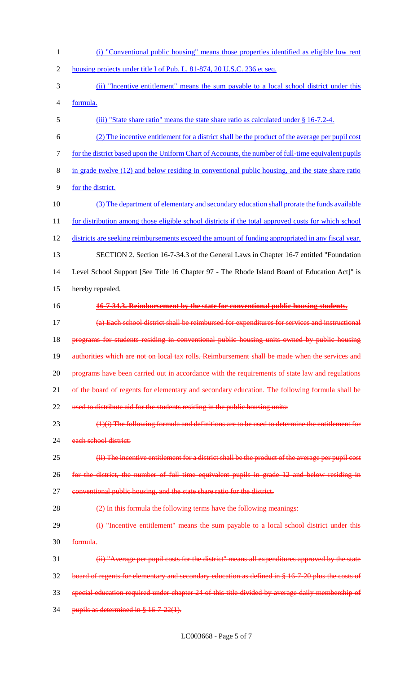(i) "Conventional public housing" means those properties identified as eligible low rent 2 housing projects under title I of Pub. L. 81-874, 20 U.S.C. 236 et seq. (ii) "Incentive entitlement" means the sum payable to a local school district under this formula. 5 (iii) "State share ratio" means the state share ratio as calculated under § 16-7.2-4. (2) The incentive entitlement for a district shall be the product of the average per pupil cost for the district based upon the Uniform Chart of Accounts, the number of full-time equivalent pupils in grade twelve (12) and below residing in conventional public housing, and the state share ratio for the district. (3) The department of elementary and secondary education shall prorate the funds available 11 for distribution among those eligible school districts if the total approved costs for which school districts are seeking reimbursements exceed the amount of funding appropriated in any fiscal year. SECTION 2. Section 16-7-34.3 of the General Laws in Chapter 16-7 entitled "Foundation Level School Support [See Title 16 Chapter 97 - The Rhode Island Board of Education Act]" is hereby repealed. **16-7-34.3. Reimbursement by the state for conventional public housing students.** (a) Each school district shall be reimbursed for expenditures for services and instructional 18 programs for students residing in conventional public housing units owned by public housing authorities which are not on local tax rolls. Reimbursement shall be made when the services and 20 programs have been carried out in accordance with the requirements of state law and regulations 21 of the board of regents for elementary and secondary education. The following formula shall be 22 used to distribute aid for the students residing in the public housing units: (1)(i) The following formula and definitions are to be used to determine the entitlement for 24 each school district: **(ii)** The incentive entitlement for a district shall be the product of the average per pupil cost for the district, the number of full time equivalent pupils in grade 12 and below residing in 27 conventional public housing, and the state share ratio for the district. (2) In this formula the following terms have the following meanings: 29 (i) "Incentive entitlement" means the sum payable to a local school district under this formula. (ii) "Average per pupil costs for the district" means all expenditures approved by the state 32 board of regents for elementary and secondary education as defined in § 16-7-20 plus the costs of special education required under chapter 24 of this title divided by average daily membership of 34 pupils as determined in § 16-7-22(1).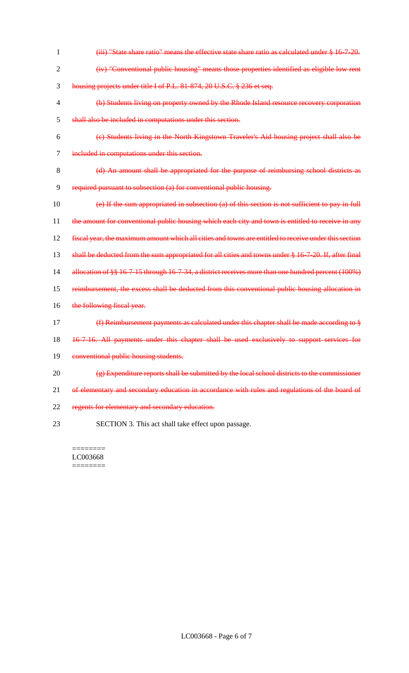1 (iii) "State share ratio" means the effective state share ratio as calculated under § 16-7-20. 2 (iv) "Conventional public housing" means those properties identified as eligible low rent 3 housing projects under title I of P.L. 81-874, 20 U.S.C. § 236 et seq. 4 (b) Students living on property owned by the Rhode Island resource recovery corporation 5 shall also be included in computations under this section. 6 (c) Students living in the North Kingstown Traveler's Aid housing project shall also be 7 included in computations under this section. 8 (d) An amount shall be appropriated for the purpose of reimbursing school districts as 9 required pursuant to subsection (a) for conventional public housing. 10 (e) If the sum appropriated in subsection (a) of this section is not sufficient to pay in full 11 the amount for conventional public housing which each city and town is entitled to receive in any 12 fiscal year, the maximum amount which all cities and towns are entitled to receive under this section 13 shall be deducted from the sum appropriated for all cities and towns under § 16-7-20. If, after final 14 allocation of §§ 16-7-15 through 16-7-34, a district receives more than one hundred percent (100%) 15 reimbursement, the excess shall be deducted from this conventional public housing allocation in 16 the following fiscal year. 17 (f) Reimbursement payments as calculated under this chapter shall be made according to § 18 16-7-16. All payments under this chapter shall be used exclusively to support services for 19 conventional public housing students. 20 (g) Expenditure reports shall be submitted by the local school districts to the commissioner 21 of elementary and secondary education in accordance with rules and regulations of the board of 22 regents for elementary and secondary education. 23 SECTION 3. This act shall take effect upon passage.

======== LC003668 ========